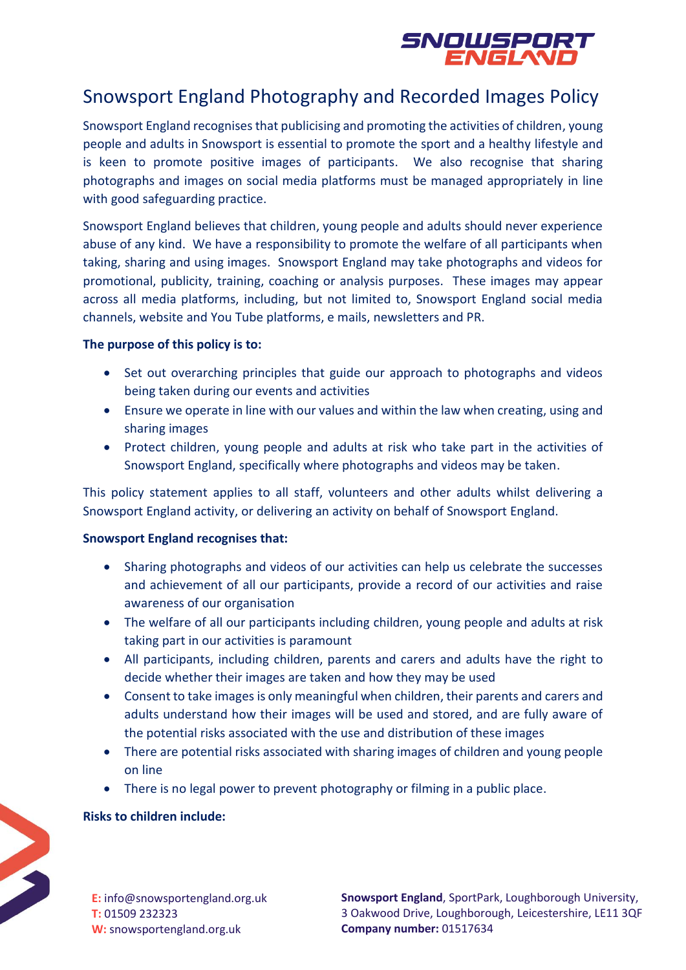

# Snowsport England Photography and Recorded Images Policy

Snowsport England recognises that publicising and promoting the activities of children, young people and adults in Snowsport is essential to promote the sport and a healthy lifestyle and is keen to promote positive images of participants. We also recognise that sharing photographs and images on social media platforms must be managed appropriately in line with good safeguarding practice.

Snowsport England believes that children, young people and adults should never experience abuse of any kind. We have a responsibility to promote the welfare of all participants when taking, sharing and using images. Snowsport England may take photographs and videos for promotional, publicity, training, coaching or analysis purposes. These images may appear across all media platforms, including, but not limited to, Snowsport England social media channels, website and You Tube platforms, e mails, newsletters and PR.

## **The purpose of this policy is to:**

- Set out overarching principles that guide our approach to photographs and videos being taken during our events and activities
- Ensure we operate in line with our values and within the law when creating, using and sharing images
- Protect children, young people and adults at risk who take part in the activities of Snowsport England, specifically where photographs and videos may be taken.

This policy statement applies to all staff, volunteers and other adults whilst delivering a Snowsport England activity, or delivering an activity on behalf of Snowsport England.

## **Snowsport England recognises that:**

- Sharing photographs and videos of our activities can help us celebrate the successes and achievement of all our participants, provide a record of our activities and raise awareness of our organisation
- The welfare of all our participants including children, young people and adults at risk taking part in our activities is paramount
- All participants, including children, parents and carers and adults have the right to decide whether their images are taken and how they may be used
- Consent to take images is only meaningful when children, their parents and carers and adults understand how their images will be used and stored, and are fully aware of the potential risks associated with the use and distribution of these images
- There are potential risks associated with sharing images of children and young people on line
- There is no legal power to prevent photography or filming in a public place.

# **Risks to children include:**



**E:** info@snowsportengland.org.uk **T:** 01509 232323 **W:** snowsportengland.org.uk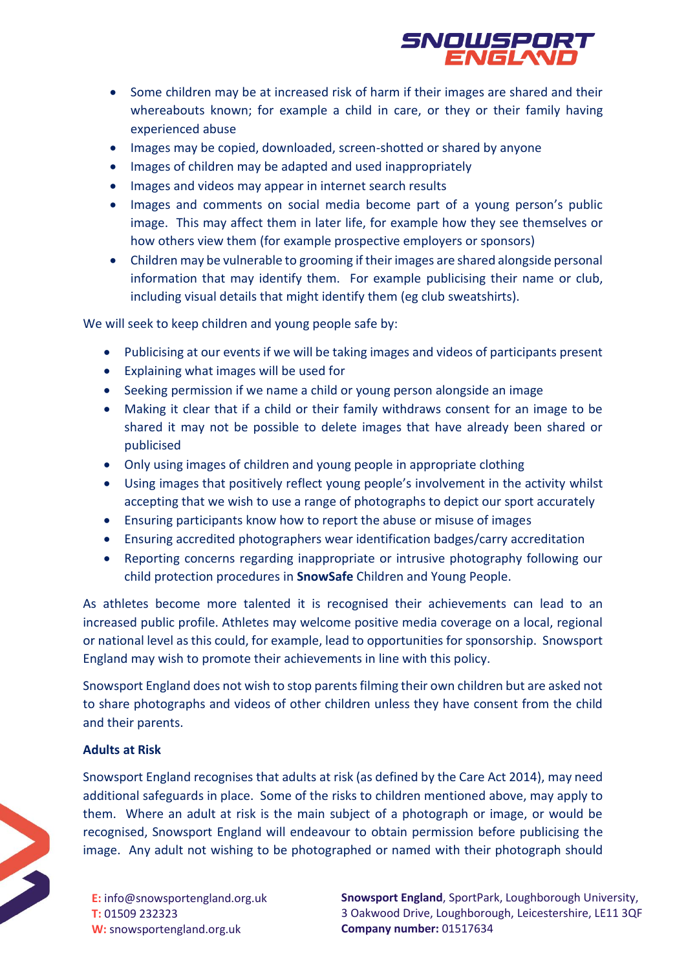

- Some children may be at increased risk of harm if their images are shared and their whereabouts known; for example a child in care, or they or their family having experienced abuse
- Images may be copied, downloaded, screen-shotted or shared by anyone
- Images of children may be adapted and used inappropriately
- Images and videos may appear in internet search results
- Images and comments on social media become part of a young person's public image. This may affect them in later life, for example how they see themselves or how others view them (for example prospective employers or sponsors)
- Children may be vulnerable to grooming if their images are shared alongside personal information that may identify them. For example publicising their name or club, including visual details that might identify them (eg club sweatshirts).

We will seek to keep children and young people safe by:

- Publicising at our events if we will be taking images and videos of participants present
- Explaining what images will be used for
- Seeking permission if we name a child or young person alongside an image
- Making it clear that if a child or their family withdraws consent for an image to be shared it may not be possible to delete images that have already been shared or publicised
- Only using images of children and young people in appropriate clothing
- Using images that positively reflect young people's involvement in the activity whilst accepting that we wish to use a range of photographs to depict our sport accurately
- Ensuring participants know how to report the abuse or misuse of images
- Ensuring accredited photographers wear identification badges/carry accreditation
- Reporting concerns regarding inappropriate or intrusive photography following our child protection procedures in **SnowSafe** Children and Young People.

As athletes become more talented it is recognised their achievements can lead to an increased public profile. Athletes may welcome positive media coverage on a local, regional or national level as this could, for example, lead to opportunities for sponsorship. Snowsport England may wish to promote their achievements in line with this policy.

Snowsport England does not wish to stop parents filming their own children but are asked not to share photographs and videos of other children unless they have consent from the child and their parents.

## **Adults at Risk**

Snowsport England recognises that adults at risk (as defined by the Care Act 2014), may need additional safeguards in place. Some of the risks to children mentioned above, may apply to them. Where an adult at risk is the main subject of a photograph or image, or would be recognised, Snowsport England will endeavour to obtain permission before publicising the image. Any adult not wishing to be photographed or named with their photograph should



**E:** info@snowsportengland.org.uk **T:** 01509 232323 **W:** snowsportengland.org.uk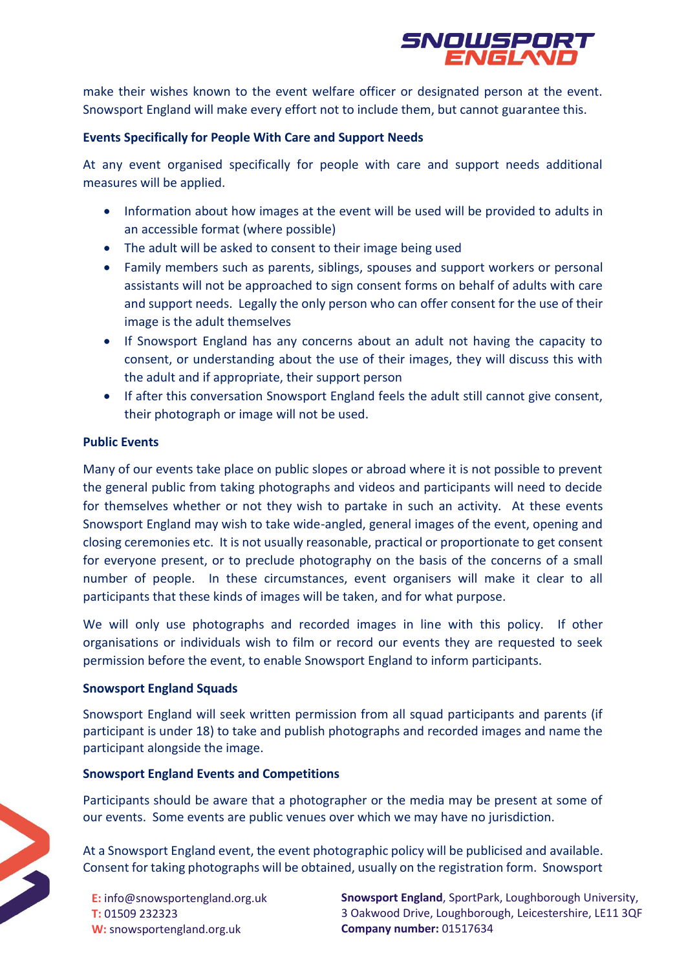

make their wishes known to the event welfare officer or designated person at the event. Snowsport England will make every effort not to include them, but cannot guarantee this.

#### **Events Specifically for People With Care and Support Needs**

At any event organised specifically for people with care and support needs additional measures will be applied.

- Information about how images at the event will be used will be provided to adults in an accessible format (where possible)
- The adult will be asked to consent to their image being used
- Family members such as parents, siblings, spouses and support workers or personal assistants will not be approached to sign consent forms on behalf of adults with care and support needs. Legally the only person who can offer consent for the use of their image is the adult themselves
- If Snowsport England has any concerns about an adult not having the capacity to consent, or understanding about the use of their images, they will discuss this with the adult and if appropriate, their support person
- If after this conversation Snowsport England feels the adult still cannot give consent, their photograph or image will not be used.

#### **Public Events**

Many of our events take place on public slopes or abroad where it is not possible to prevent the general public from taking photographs and videos and participants will need to decide for themselves whether or not they wish to partake in such an activity. At these events Snowsport England may wish to take wide-angled, general images of the event, opening and closing ceremonies etc. It is not usually reasonable, practical or proportionate to get consent for everyone present, or to preclude photography on the basis of the concerns of a small number of people. In these circumstances, event organisers will make it clear to all participants that these kinds of images will be taken, and for what purpose.

We will only use photographs and recorded images in line with this policy. If other organisations or individuals wish to film or record our events they are requested to seek permission before the event, to enable Snowsport England to inform participants.

#### **Snowsport England Squads**

Snowsport England will seek written permission from all squad participants and parents (if participant is under 18) to take and publish photographs and recorded images and name the participant alongside the image.

#### **Snowsport England Events and Competitions**

Participants should be aware that a photographer or the media may be present at some of our events. Some events are public venues over which we may have no jurisdiction.

At a Snowsport England event, the event photographic policy will be publicised and available. Consent for taking photographs will be obtained, usually on the registration form. Snowsport

**E:** info@snowsportengland.org.uk **T:** 01509 232323 **W:** snowsportengland.org.uk